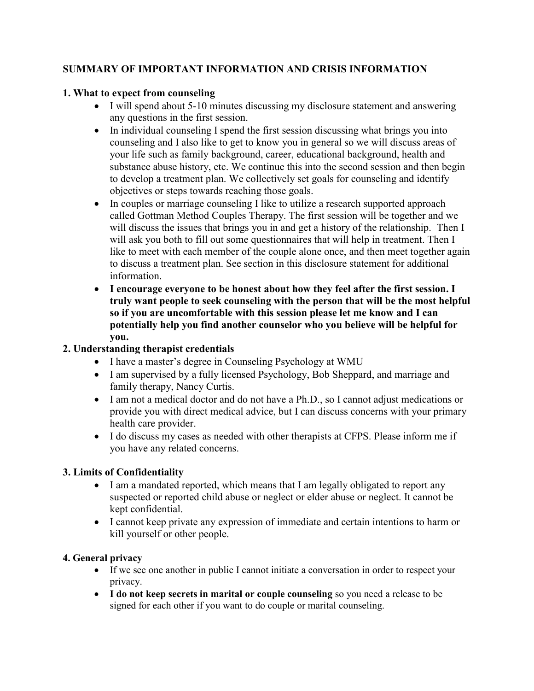### **SUMMARY OF IMPORTANT INFORMATION AND CRISIS INFORMATION**

#### **1. What to expect from counseling**

- I will spend about 5-10 minutes discussing my disclosure statement and answering any questions in the first session.
- In individual counseling I spend the first session discussing what brings you into counseling and I also like to get to know you in general so we will discuss areas of your life such as family background, career, educational background, health and substance abuse history, etc. We continue this into the second session and then begin to develop a treatment plan. We collectively set goals for counseling and identify objectives or steps towards reaching those goals.
- In couples or marriage counseling I like to utilize a research supported approach called Gottman Method Couples Therapy. The first session will be together and we will discuss the issues that brings you in and get a history of the relationship. Then I will ask you both to fill out some questionnaires that will help in treatment. Then I like to meet with each member of the couple alone once, and then meet together again to discuss a treatment plan. See section in this disclosure statement for additional information.
- **I encourage everyone to be honest about how they feel after the first session. I truly want people to seek counseling with the person that will be the most helpful so if you are uncomfortable with this session please let me know and I can potentially help you find another counselor who you believe will be helpful for you.**

# **2. Understanding therapist credentials**

- I have a master's degree in Counseling Psychology at WMU
- I am supervised by a fully licensed Psychology, Bob Sheppard, and marriage and family therapy, Nancy Curtis.
- I am not a medical doctor and do not have a Ph.D., so I cannot adjust medications or provide you with direct medical advice, but I can discuss concerns with your primary health care provider.
- I do discuss my cases as needed with other therapists at CFPS. Please inform me if you have any related concerns.

# **3. Limits of Confidentiality**

- I am a mandated reported, which means that I am legally obligated to report any suspected or reported child abuse or neglect or elder abuse or neglect. It cannot be kept confidential.
- I cannot keep private any expression of immediate and certain intentions to harm or kill yourself or other people.

# **4. General privacy**

- If we see one another in public I cannot initiate a conversation in order to respect your privacy.
- **I do not keep secrets in marital or couple counseling** so you need a release to be signed for each other if you want to do couple or marital counseling.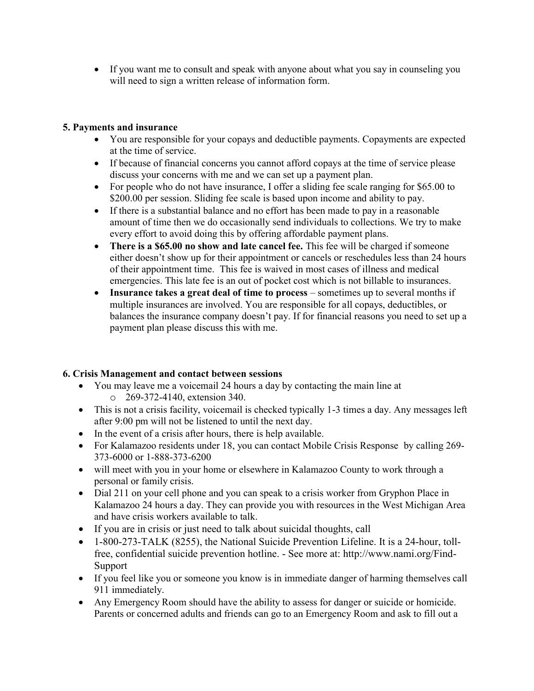If you want me to consult and speak with anyone about what you say in counseling you will need to sign a written release of information form.

#### **5. Payments and insurance**

- You are responsible for your copays and deductible payments. Copayments are expected at the time of service.
- If because of financial concerns you cannot afford copays at the time of service please discuss your concerns with me and we can set up a payment plan.
- For people who do not have insurance, I offer a sliding fee scale ranging for \$65.00 to \$200.00 per session. Sliding fee scale is based upon income and ability to pay.
- If there is a substantial balance and no effort has been made to pay in a reasonable amount of time then we do occasionally send individuals to collections. We try to make every effort to avoid doing this by offering affordable payment plans.
- **There is a \$65.00 no show and late cancel fee.** This fee will be charged if someone either doesn't show up for their appointment or cancels or reschedules less than 24 hours of their appointment time. This fee is waived in most cases of illness and medical emergencies. This late fee is an out of pocket cost which is not billable to insurances.
- **Insurance takes a great deal of time to process** sometimes up to several months if multiple insurances are involved. You are responsible for all copays, deductibles, or balances the insurance company doesn't pay. If for financial reasons you need to set up a payment plan please discuss this with me.

#### **6. Crisis Management and contact between sessions**

- You may leave me a voicemail 24 hours a day by contacting the main line at o 269-372-4140, extension 340.
- This is not a crisis facility, voicemail is checked typically 1-3 times a day. Any messages left after 9:00 pm will not be listened to until the next day.
- In the event of a crisis after hours, there is help available.
- For Kalamazoo residents under 18, you can contact Mobile Crisis Response by calling 269- 373-6000 or 1-888-373-6200
- will meet with you in your home or elsewhere in Kalamazoo County to work through a personal or family crisis.
- Dial 211 on your cell phone and you can speak to a crisis worker from Gryphon Place in Kalamazoo 24 hours a day. They can provide you with resources in the West Michigan Area and have crisis workers available to talk.
- If you are in crisis or just need to talk about suicidal thoughts, call
- 1-800-273-TALK (8255), the National Suicide Prevention Lifeline. It is a 24-hour, tollfree, confidential suicide prevention hotline. - See more at: http://www.nami.org/Find-Support
- If you feel like you or someone you know is in immediate danger of harming themselves call 911 immediately.
- Any Emergency Room should have the ability to assess for danger or suicide or homicide. Parents or concerned adults and friends can go to an Emergency Room and ask to fill out a